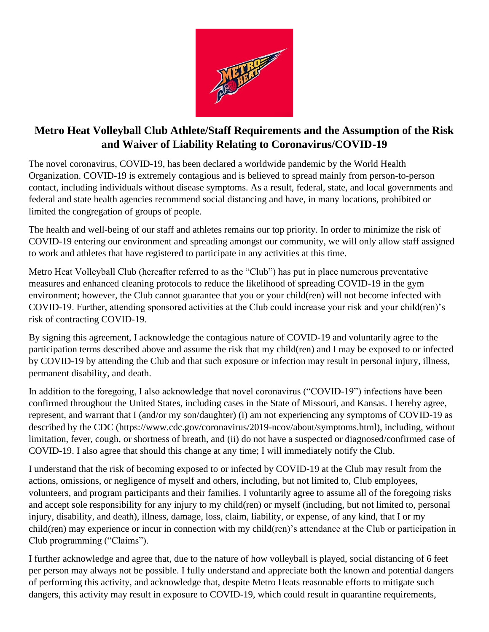

## **Metro Heat Volleyball Club Athlete/Staff Requirements and the Assumption of the Risk and Waiver of Liability Relating to Coronavirus/COVID-19**

The novel coronavirus, COVID-19, has been declared a worldwide pandemic by the World Health Organization. COVID-19 is extremely contagious and is believed to spread mainly from person-to-person contact, including individuals without disease symptoms. As a result, federal, state, and local governments and federal and state health agencies recommend social distancing and have, in many locations, prohibited or limited the congregation of groups of people.

The health and well-being of our staff and athletes remains our top priority. In order to minimize the risk of COVID-19 entering our environment and spreading amongst our community, we will only allow staff assigned to work and athletes that have registered to participate in any activities at this time.

Metro Heat Volleyball Club (hereafter referred to as the "Club") has put in place numerous preventative measures and enhanced cleaning protocols to reduce the likelihood of spreading COVID-19 in the gym environment; however, the Club cannot guarantee that you or your child(ren) will not become infected with COVID-19. Further, attending sponsored activities at the Club could increase your risk and your child(ren)'s risk of contracting COVID-19.

By signing this agreement, I acknowledge the contagious nature of COVID-19 and voluntarily agree to the participation terms described above and assume the risk that my child(ren) and I may be exposed to or infected by COVID-19 by attending the Club and that such exposure or infection may result in personal injury, illness, permanent disability, and death.

In addition to the foregoing, I also acknowledge that novel coronavirus ("COVID-19") infections have been confirmed throughout the United States, including cases in the State of Missouri, and Kansas. I hereby agree, represent, and warrant that I (and/or my son/daughter) (i) am not experiencing any symptoms of COVID-19 as described by the CDC (https://www.cdc.gov/coronavirus/2019-ncov/about/symptoms.html), including, without limitation, fever, cough, or shortness of breath, and (ii) do not have a suspected or diagnosed/confirmed case of COVID-19. I also agree that should this change at any time; I will immediately notify the Club.

I understand that the risk of becoming exposed to or infected by COVID-19 at the Club may result from the actions, omissions, or negligence of myself and others, including, but not limited to, Club employees, volunteers, and program participants and their families. I voluntarily agree to assume all of the foregoing risks and accept sole responsibility for any injury to my child(ren) or myself (including, but not limited to, personal injury, disability, and death), illness, damage, loss, claim, liability, or expense, of any kind, that I or my child(ren) may experience or incur in connection with my child(ren)'s attendance at the Club or participation in Club programming ("Claims").

I further acknowledge and agree that, due to the nature of how volleyball is played, social distancing of 6 feet per person may always not be possible. I fully understand and appreciate both the known and potential dangers of performing this activity, and acknowledge that, despite Metro Heats reasonable efforts to mitigate such dangers, this activity may result in exposure to COVID-19, which could result in quarantine requirements,